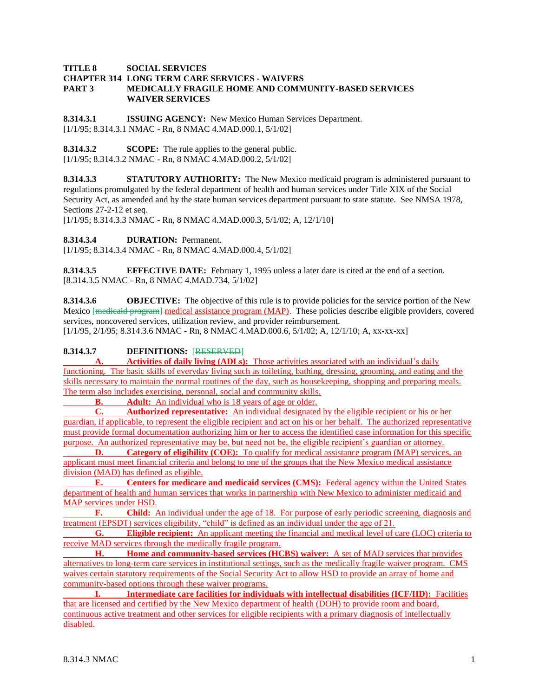### **TITLE 8 SOCIAL SERVICES CHAPTER 314 LONG TERM CARE SERVICES - WAIVERS PART 3 MEDICALLY FRAGILE HOME AND COMMUNITY-BASED SERVICES WAIVER SERVICES**

**8.314.3.1 ISSUING AGENCY:** New Mexico Human Services Department. [1/1/95; 8.314.3.1 NMAC - Rn, 8 NMAC 4.MAD.000.1, 5/1/02]

**8.314.3.2 SCOPE:** The rule applies to the general public. [1/1/95; 8.314.3.2 NMAC - Rn, 8 NMAC 4.MAD.000.2, 5/1/02]

**8.314.3.3 STATUTORY AUTHORITY:** The New Mexico medicaid program is administered pursuant to regulations promulgated by the federal department of health and human services under Title XIX of the Social Security Act, as amended and by the state human services department pursuant to state statute. See NMSA 1978, Sections 27-2-12 et seq.

[1/1/95; 8.314.3.3 NMAC - Rn, 8 NMAC 4.MAD.000.3, 5/1/02; A, 12/1/10]

**8.314.3.4 DURATION:** Permanent.

[1/1/95; 8.314.3.4 NMAC - Rn, 8 NMAC 4.MAD.000.4, 5/1/02]

**8.314.3.5 EFFECTIVE DATE:** February 1, 1995 unless a later date is cited at the end of a section. [8.314.3.5 NMAC - Rn, 8 NMAC 4.MAD.734, 5/1/02]

**8.314.3.6 OBJECTIVE:** The objective of this rule is to provide policies for the service portion of the New Mexico [medicaid program] medical assistance program (MAP). These policies describe eligible providers, covered services, noncovered services, utilization review, and provider reimbursement. [1/1/95, 2/1/95; 8.314.3.6 NMAC - Rn, 8 NMAC 4.MAD.000.6, 5/1/02; A, 12/1/10; A, xx-xx-xx]

## **8.314.3.7 DEFINITIONS:** [RESERVED]

**A. Activities of daily living (ADLs):** Those activities associated with an individual's daily functioning. The basic skills of everyday living such as toileting, bathing, dressing, grooming, and eating and the skills necessary to maintain the normal routines of the day, such as housekeeping, shopping and preparing meals. The term also includes exercising, personal, social and community skills.

**B. Adult:** An individual who is 18 years of age or older.

**C. Authorized representative:** An individual designated by the eligible recipient or his or her guardian, if applicable, to represent the eligible recipient and act on his or her behalf. The authorized representative must provide formal documentation authorizing him or her to access the identified case information for this specific purpose. An authorized representative may be, but need not be, the eligible recipient's guardian or attorney.

**D. Category of eligibility (COE):** To qualify for medical assistance program (MAP) services, an applicant must meet financial criteria and belong to one of the groups that the New Mexico medical assistance division (MAD) has defined as eligible.

**E. Centers for medicare and medicaid services (CMS):** Federal agency within the United States department of health and human services that works in partnership with New Mexico to administer medicaid and MAP services under HSD.

**F. Child:** An individual under the age of 18. For purpose of early periodic screening, diagnosis and treatment (EPSDT) services eligibility, "child" is defined as an individual under the age of 21.

**G. Eligible recipient:** An applicant meeting the financial and medical level of care (LOC) criteria to receive MAD services through the medically fragile program.

**H. Home and community-based services (HCBS) waiver:** A set of MAD services that provides alternatives to long-term care services in institutional settings, such as the medically fragile waiver program. CMS waives certain statutory requirements of the Social Security Act to allow HSD to provide an array of home and community-based options through these waiver programs.

**I. Intermediate care facilities for individuals with intellectual disabilities (ICF/IID):** Facilities that are licensed and certified by the New Mexico department of health (DOH) to provide room and board, continuous active treatment and other services for eligible recipients with a primary diagnosis of intellectually disabled.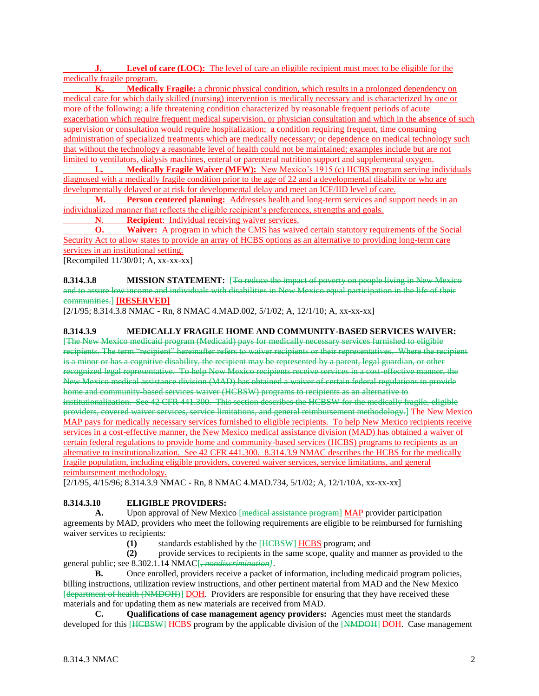**J. Level of care (LOC):** The level of care an eligible recipient must meet to be eligible for the medically fragile program.

**K. Medically Fragile:** a chronic physical condition, which results in a prolonged dependency on medical care for which daily skilled (nursing) intervention is medically necessary and is characterized by one or more of the following: a life threatening condition characterized by reasonable frequent periods of acute exacerbation which require frequent medical supervision, or physician consultation and which in the absence of such supervision or consultation would require hospitalization; a condition requiring frequent, time consuming administration of specialized treatments which are medically necessary; or dependence on medical technology such that without the technology a reasonable level of health could not be maintained; examples include but are not limited to ventilators, dialysis machines, enteral or parenteral nutrition support and supplemental oxygen.

**L. Medically Fragile Waiver (MFW):** New Mexico's 1915 (c) HCBS program serving individuals diagnosed with a medically fragile condition prior to the age of 22 and a developmental disability or who are developmentally delayed or at risk for developmental delay and meet an ICF/IID level of care.

**M. Person centered planning:** Addresses health and long-term services and support needs in an individualized manner that reflects the eligible recipient's preferences, strengths and goals.

**N**. **Recipient**: Individual receiving waiver services.

**O. Waiver:** A program in which the CMS has waived certain statutory requirements of the Social Security Act to allow states to provide an array of HCBS options as an alternative to providing long-term care services in an institutional setting.

[Recompiled  $11/30/01$ ; A, xx-xx-xx]

**8.314.3.8 MISSION STATEMENT:** [To reduce the impact of poverty on people living in New Mexico and to assure low income and individuals with disabilities in New Mexico equal participation in the life of their communities.] **[RESERVED]**

[2/1/95; 8.314.3.8 NMAC - Rn, 8 NMAC 4.MAD.002, 5/1/02; A, 12/1/10; A, xx-xx-xx]

## **8.314.3.9 MEDICALLY FRAGILE HOME AND COMMUNITY-BASED SERVICES WAIVER:**

[The New Mexico medicaid program (Medicaid) pays for medically necessary services furnished to eligible recipients. The term "recipient" hereinafter refers to waiver recipients or their representatives. Where the recipient is a minor or has a cognitive disability, the recipient may be represented by a parent, legal guardian, or other recognized legal representative. To help New Mexico recipients receive services in a cost-effective manner, the New Mexico medical assistance division (MAD) has obtained a waiver of certain federal regulations to provide home and community-based services waiver (HCBSW) programs to recipients as an alternative to institutionalization. See 42 CFR 441.300. This section describes the HCBSW for the medically fragile, eligible providers, covered waiver services, service limitations, and general reimbursement methodology.] The New Mexico MAP pays for medically necessary services furnished to eligible recipients. To help New Mexico recipients receive services in a cost-effective manner, the New Mexico medical assistance division (MAD) has obtained a waiver of certain federal regulations to provide home and community-based services (HCBS) programs to recipients as an alternative to institutionalization. See 42 CFR 441.300. 8.314.3.9 NMAC describes the HCBS for the medically fragile population, including eligible providers, covered waiver services, service limitations, and general reimbursement methodology.

[2/1/95, 4/15/96; 8.314.3.9 NMAC - Rn, 8 NMAC 4.MAD.734, 5/1/02; A, 12/1/10A, xx-xx-xx]

## **8.314.3.10 ELIGIBLE PROVIDERS:**

**A.** Upon approval of New Mexico [medical assistance program] MAP provider participation agreements by MAD, providers who meet the following requirements are eligible to be reimbursed for furnishing waiver services to recipients:

**(1)** standards established by the [HCBSW] HCBS program; and

**(2)** provide services to recipients in the same scope, quality and manner as provided to the general public; see 8.302.1.14 NMAC[, *nondiscrimination]*.

**B.** Once enrolled, providers receive a packet of information, including medicaid program policies, billing instructions, utilization review instructions, and other pertinent material from MAD and the New Mexico [department of health (NMDOH)] DOH. Providers are responsible for ensuring that they have received these materials and for updating them as new materials are received from MAD.

**C. Qualifications of case management agency providers:** Agencies must meet the standards developed for this [HCBSW] HCBS program by the applicable division of the [NMDOH] DOH. Case management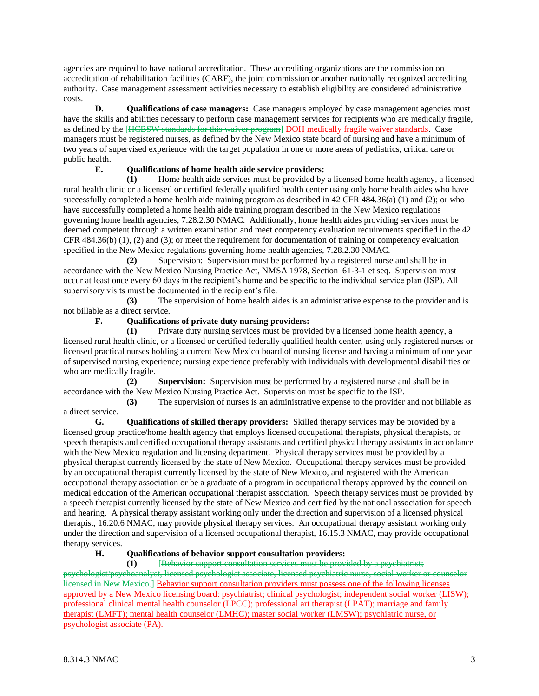agencies are required to have national accreditation. These accrediting organizations are the commission on accreditation of rehabilitation facilities (CARF), the joint commission or another nationally recognized accrediting authority. Case management assessment activities necessary to establish eligibility are considered administrative costs.

**D. Qualifications of case managers:** Case managers employed by case management agencies must have the skills and abilities necessary to perform case management services for recipients who are medically fragile, as defined by the [HCBSW standards for this waiver program] DOH medically fragile waiver standards. Case managers must be registered nurses, as defined by the New Mexico state board of nursing and have a minimum of two years of supervised experience with the target population in one or more areas of pediatrics, critical care or public health.

## **E. Qualifications of home health aide service providers:**

**(1)** Home health aide services must be provided by a licensed home health agency, a licensed rural health clinic or a licensed or certified federally qualified health center using only home health aides who have successfully completed a home health aide training program as described in 42 CFR 484.36(a) (1) and (2); or who have successfully completed a home health aide training program described in the New Mexico regulations governing home health agencies, 7.28.2.30 NMAC. Additionally, home health aides providing services must be deemed competent through a written examination and meet competency evaluation requirements specified in the 42 CFR 484.36(b) (1), (2) and (3); or meet the requirement for documentation of training or competency evaluation specified in the New Mexico regulations governing home health agencies, 7.28.2.30 NMAC.

**(2)** Supervision: Supervision must be performed by a registered nurse and shall be in accordance with the New Mexico Nursing Practice Act, NMSA 1978, Section 61-3-1 et seq. Supervision must occur at least once every 60 days in the recipient's home and be specific to the individual service plan (ISP). All supervisory visits must be documented in the recipient's file.

**(3)** The supervision of home health aides is an administrative expense to the provider and is not billable as a direct service.

## **F. Qualifications of private duty nursing providers:**

**(1)** Private duty nursing services must be provided by a licensed home health agency, a licensed rural health clinic, or a licensed or certified federally qualified health center, using only registered nurses or licensed practical nurses holding a current New Mexico board of nursing license and having a minimum of one year of supervised nursing experience; nursing experience preferably with individuals with developmental disabilities or who are medically fragile.

**(2) Supervision:** Supervision must be performed by a registered nurse and shall be in accordance with the New Mexico Nursing Practice Act. Supervision must be specific to the ISP.

**(3)** The supervision of nurses is an administrative expense to the provider and not billable as a direct service.

**G. Qualifications of skilled therapy providers:** Skilled therapy services may be provided by a licensed group practice/home health agency that employs licensed occupational therapists, physical therapists, or speech therapists and certified occupational therapy assistants and certified physical therapy assistants in accordance with the New Mexico regulation and licensing department. Physical therapy services must be provided by a physical therapist currently licensed by the state of New Mexico. Occupational therapy services must be provided by an occupational therapist currently licensed by the state of New Mexico, and registered with the American occupational therapy association or be a graduate of a program in occupational therapy approved by the council on medical education of the American occupational therapist association. Speech therapy services must be provided by a speech therapist currently licensed by the state of New Mexico and certified by the national association for speech and hearing. A physical therapy assistant working only under the direction and supervision of a licensed physical therapist, 16.20.6 NMAC, may provide physical therapy services. An occupational therapy assistant working only under the direction and supervision of a licensed occupational therapist, 16.15.3 NMAC, may provide occupational therapy services.

## **H. Qualifications of behavior support consultation providers:**

**(1)** [Behavior support consultation services must be provided by a psychiatrist; psychologist/psychoanalyst, licensed psychologist associate, licensed psychiatric nurse, social worker or counselor licensed in New Mexico.] Behavior support consultation providers must possess one of the following licenses approved by a New Mexico licensing board: psychiatrist; clinical psychologist; independent social worker (LISW); professional clinical mental health counselor (LPCC); professional art therapist (LPAT); marriage and family therapist (LMFT); mental health counselor (LMHC); master social worker (LMSW); psychiatric nurse, or psychologist associate (PA).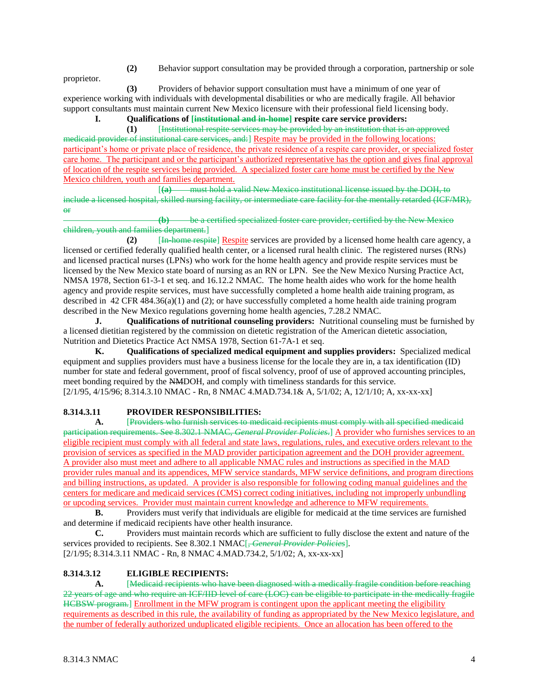proprietor.

**(2)** Behavior support consultation may be provided through a corporation, partnership or sole

**(3)** Providers of behavior support consultation must have a minimum of one year of experience working with individuals with developmental disabilities or who are medically fragile. All behavior support consultants must maintain current New Mexico licensure with their professional field licensing body.

# **I. Qualifications of [institutional and in-home] respite care service providers:**

**(1)** [Institutional respite services may be provided by an institution that is an approved medicaid provider of institutional care services, and:] Respite may be provided in the following locations: participant's home or private place of residence, the private residence of a respite care provider, or specialized foster care home. The participant and or the participant's authorized representative has the option and gives final approval of location of the respite services being provided. A specialized foster care home must be certified by the New Mexico children, youth and families department.

[**(a)** must hold a valid New Mexico institutional license issued by the DOH, to include a licensed hospital, skilled nursing facility, or intermediate care facility for the mentally retarded (ICF/MR), or

**(b)** be a certified specialized foster care provider, certified by the New Mexico children, youth and families department.]

(2) [In home respite] Respite services are provided by a licensed home health care agency, a licensed or certified federally qualified health center, or a licensed rural health clinic. The registered nurses (RNs) and licensed practical nurses (LPNs) who work for the home health agency and provide respite services must be licensed by the New Mexico state board of nursing as an RN or LPN. See the New Mexico Nursing Practice Act, NMSA 1978, Section 61-3-1 et seq. and 16.12.2 NMAC. The home health aides who work for the home health agency and provide respite services, must have successfully completed a home health aide training program, as described in 42 CFR 484.36(a)(1) and (2); or have successfully completed a home health aide training program described in the New Mexico regulations governing home health agencies, 7.28.2 NMAC.

**J. Qualifications of nutritional counseling providers:** Nutritional counseling must be furnished by a licensed dietitian registered by the commission on dietetic registration of the American dietetic association, Nutrition and Dietetics Practice Act NMSA 1978, Section 61-7A-1 et seq.

**K. Qualifications of specialized medical equipment and supplies providers:** Specialized medical equipment and supplies providers must have a business license for the locale they are in, a tax identification (ID) number for state and federal government, proof of fiscal solvency, proof of use of approved accounting principles, meet bonding required by the NMDOH, and comply with timeliness standards for this service. [2/1/95, 4/15/96; 8.314.3.10 NMAC - Rn, 8 NMAC 4.MAD.734.1& A, 5/1/02; A, 12/1/10; A, xx-xx-xx]

# **8.314.3.11 PROVIDER RESPONSIBILITIES:**

**A.** [Providers who furnish services to medicaid recipients must comply with all specified medicaid participation requirements. See 8.302.1 NMAC, *General Provider Policies*.] A provider who furnishes services to an eligible recipient must comply with all federal and state laws, regulations, rules, and executive orders relevant to the provision of services as specified in the MAD provider participation agreement and the DOH provider agreement. A provider also must meet and adhere to all applicable NMAC rules and instructions as specified in the MAD provider rules manual and its appendices, MFW service standards, MFW service definitions, and program directions and billing instructions, as updated. A provider is also responsible for following coding manual guidelines and the centers for medicare and medicaid services (CMS) correct coding initiatives, including not improperly unbundling or upcoding services. Provider must maintain current knowledge and adherence to MFW requirements.

**B.** Providers must verify that individuals are eligible for medicaid at the time services are furnished and determine if medicaid recipients have other health insurance.

**C.** Providers must maintain records which are sufficient to fully disclose the extent and nature of the services provided to recipients. See 8.302.1 NMAC<sup>[</sup>, *General Provider Policies*].

[2/1/95; 8.314.3.11 NMAC - Rn, 8 NMAC 4.MAD.734.2, 5/1/02; A, xx-xx-xx]

# **8.314.3.12 ELIGIBLE RECIPIENTS:**

**A.** [Medicaid recipients who have been diagnosed with a medically fragile condition before reaching 22 years of age and who require an ICF/IID level of care (LOC) can be eligible to participate in the medically fragile HCBSW program.] Enrollment in the MFW program is contingent upon the applicant meeting the eligibility requirements as described in this rule, the availability of funding as appropriated by the New Mexico legislature, and the number of federally authorized unduplicated eligible recipients. Once an allocation has been offered to the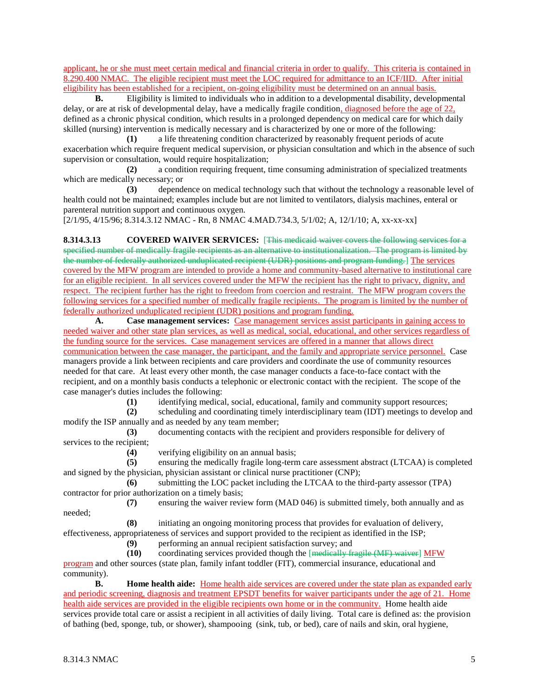applicant, he or she must meet certain medical and financial criteria in order to qualify. This criteria is contained in 8.290.400 NMAC. The eligible recipient must meet the LOC required for admittance to an ICF/IID. After initial eligibility has been established for a recipient, on-going eligibility must be determined on an annual basis.

**B.** Eligibility is limited to individuals who in addition to a developmental disability, developmental delay, or are at risk of developmental delay, have a medically fragile condition, diagnosed before the age of 22, defined as a chronic physical condition, which results in a prolonged dependency on medical care for which daily skilled (nursing) intervention is medically necessary and is characterized by one or more of the following:

**(1)** a life threatening condition characterized by reasonably frequent periods of acute exacerbation which require frequent medical supervision, or physician consultation and which in the absence of such supervision or consultation, would require hospitalization;

**(2)** a condition requiring frequent, time consuming administration of specialized treatments which are medically necessary; or

**(3)** dependence on medical technology such that without the technology a reasonable level of health could not be maintained; examples include but are not limited to ventilators, dialysis machines, enteral or parenteral nutrition support and continuous oxygen.

[2/1/95, 4/15/96; 8.314.3.12 NMAC - Rn, 8 NMAC 4.MAD.734.3, 5/1/02; A, 12/1/10; A, xx-xx-xx]

**8.314.3.13 COVERED WAIVER SERVICES:** [This medicaid waiver covers the following services for a specified number of medically fragile recipients as an alternative to institutionalization. The program is limited by the number of federally authorized unduplicated recipient (UDR) positions and program funding.] The services covered by the MFW program are intended to provide a home and community-based alternative to institutional care for an eligible recipient. In all services covered under the MFW the recipient has the right to privacy, dignity, and respect. The recipient further has the right to freedom from coercion and restraint. The MFW program covers the following services for a specified number of medically fragile recipients. The program is limited by the number of federally authorized unduplicated recipient (UDR) positions and program funding.

**A. Case management services:** Case management services assist participants in gaining access to needed waiver and other state plan services, as well as medical, social, educational, and other services regardless of the funding source for the services. Case management services are offered in a manner that allows direct communication between the case manager, the participant, and the family and appropriate service personnel. Case managers provide a link between recipients and care providers and coordinate the use of community resources needed for that care. At least every other month, the case manager conducts a face-to-face contact with the recipient, and on a monthly basis conducts a telephonic or electronic contact with the recipient. The scope of the case manager's duties includes the following:

**(1)** identifying medical, social, educational, family and community support resources;

**(2)** scheduling and coordinating timely interdisciplinary team (IDT) meetings to develop and modify the ISP annually and as needed by any team member;

**(3)** documenting contacts with the recipient and providers responsible for delivery of services to the recipient;

**(4)** verifying eligibility on an annual basis;

**(5)** ensuring the medically fragile long-term care assessment abstract (LTCAA) is completed and signed by the physician, physician assistant or clinical nurse practitioner (CNP);

**(6)** submitting the LOC packet including the LTCAA to the third-party assessor (TPA) contractor for prior authorization on a timely basis;

**(7)** ensuring the waiver review form (MAD 046) is submitted timely, both annually and as needed;

**(8)** initiating an ongoing monitoring process that provides for evaluation of delivery,

effectiveness, appropriateness of services and support provided to the recipient as identified in the ISP;

**(9)** performing an annual recipient satisfaction survey; and

**(10)** coordinating services provided though the [medically fragile (MF) waiver] MFW program and other sources (state plan, family infant toddler (FIT), commercial insurance, educational and community).

**B. Home health aide:** Home health aide services are covered under the state plan as expanded early and periodic screening, diagnosis and treatment EPSDT benefits for waiver participants under the age of 21. Home health aide services are provided in the eligible recipients own home or in the community. Home health aide services provide total care or assist a recipient in all activities of daily living. Total care is defined as: the provision of bathing (bed, sponge, tub, or shower), shampooing (sink, tub, or bed), care of nails and skin, oral hygiene,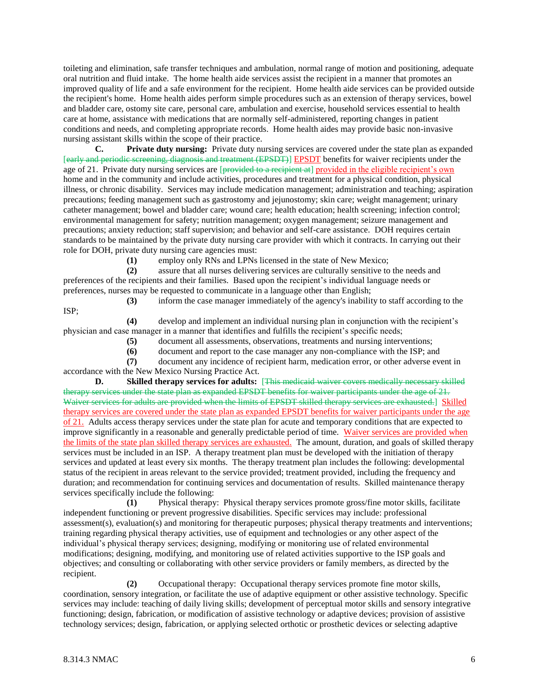toileting and elimination, safe transfer techniques and ambulation, normal range of motion and positioning, adequate oral nutrition and fluid intake. The home health aide services assist the recipient in a manner that promotes an improved quality of life and a safe environment for the recipient. Home health aide services can be provided outside the recipient's home. Home health aides perform simple procedures such as an extension of therapy services, bowel and bladder care, ostomy site care, personal care, ambulation and exercise, household services essential to health care at home, assistance with medications that are normally self-administered, reporting changes in patient conditions and needs, and completing appropriate records. Home health aides may provide basic non-invasive nursing assistant skills within the scope of their practice.

**C. Private duty nursing:** Private duty nursing services are covered under the state plan as expanded [early and periodic screening, diagnosis and treatment (EPSDT)] EPSDT benefits for waiver recipients under the age of 21. Private duty nursing services are [provided to a recipient at] provided in the eligible recipient's own home and in the community and include activities, procedures and treatment for a physical condition, physical illness, or chronic disability. Services may include medication management; administration and teaching; aspiration precautions; feeding management such as gastrostomy and jejunostomy; skin care; weight management; urinary catheter management; bowel and bladder care; wound care; health education; health screening; infection control; environmental management for safety; nutrition management; oxygen management; seizure management and precautions; anxiety reduction; staff supervision; and behavior and self-care assistance. DOH requires certain standards to be maintained by the private duty nursing care provider with which it contracts. In carrying out their role for DOH, private duty nursing care agencies must:

**(1)** employ only RNs and LPNs licensed in the state of New Mexico;

**(2)** assure that all nurses delivering services are culturally sensitive to the needs and preferences of the recipients and their families. Based upon the recipient's individual language needs or preferences, nurses may be requested to communicate in a language other than English;

**(3)** inform the case manager immediately of the agency's inability to staff according to the ISP;

**(4)** develop and implement an individual nursing plan in conjunction with the recipient's physician and case manager in a manner that identifies and fulfills the recipient's specific needs;

- **(5)** document all assessments, observations, treatments and nursing interventions;
- **(6)** document and report to the case manager any non-compliance with the ISP; and

**(7)** document any incidence of recipient harm, medication error, or other adverse event in accordance with the New Mexico Nursing Practice Act.

**D. Skilled therapy services for adults:** [This medicaid waiver covers medically necessary skilled therapy services under the state plan as expanded EPSDT benefits for waiver participants under the age of 21. Waiver services for adults are provided when the limits of EPSDT skilled therapy services are exhausted.] Skilled therapy services are covered under the state plan as expanded EPSDT benefits for waiver participants under the age of 21. Adults access therapy services under the state plan for acute and temporary conditions that are expected to improve significantly in a reasonable and generally predictable period of time. Waiver services are provided when the limits of the state plan skilled therapy services are exhausted. The amount, duration, and goals of skilled therapy services must be included in an ISP. A therapy treatment plan must be developed with the initiation of therapy services and updated at least every six months. The therapy treatment plan includes the following: developmental status of the recipient in areas relevant to the service provided; treatment provided, including the frequency and duration; and recommendation for continuing services and documentation of results. Skilled maintenance therapy services specifically include the following:

**(1)** Physical therapy: Physical therapy services promote gross/fine motor skills, facilitate independent functioning or prevent progressive disabilities. Specific services may include: professional assessment(s), evaluation(s) and monitoring for therapeutic purposes; physical therapy treatments and interventions; training regarding physical therapy activities, use of equipment and technologies or any other aspect of the individual's physical therapy services; designing, modifying or monitoring use of related environmental modifications; designing, modifying, and monitoring use of related activities supportive to the ISP goals and objectives; and consulting or collaborating with other service providers or family members, as directed by the recipient.

**(2)** Occupational therapy: Occupational therapy services promote fine motor skills, coordination, sensory integration, or facilitate the use of adaptive equipment or other assistive technology. Specific services may include: teaching of daily living skills; development of perceptual motor skills and sensory integrative functioning; design, fabrication, or modification of assistive technology or adaptive devices; provision of assistive technology services; design, fabrication, or applying selected orthotic or prosthetic devices or selecting adaptive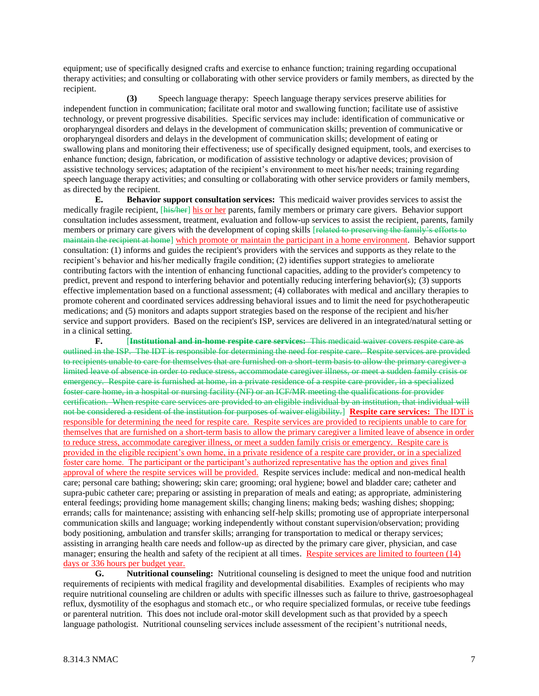equipment; use of specifically designed crafts and exercise to enhance function; training regarding occupational therapy activities; and consulting or collaborating with other service providers or family members, as directed by the recipient.

**(3)** Speech language therapy: Speech language therapy services preserve abilities for independent function in communication; facilitate oral motor and swallowing function; facilitate use of assistive technology, or prevent progressive disabilities. Specific services may include: identification of communicative or oropharyngeal disorders and delays in the development of communication skills; prevention of communicative or oropharyngeal disorders and delays in the development of communication skills; development of eating or swallowing plans and monitoring their effectiveness; use of specifically designed equipment, tools, and exercises to enhance function; design, fabrication, or modification of assistive technology or adaptive devices; provision of assistive technology services; adaptation of the recipient's environment to meet his/her needs; training regarding speech language therapy activities; and consulting or collaborating with other service providers or family members, as directed by the recipient.

**E. Behavior support consultation services:** This medicaid waiver provides services to assist the medically fragile recipient, [his/her] his or her parents, family members or primary care givers. Behavior support consultation includes assessment, treatment, evaluation and follow-up services to assist the recipient, parents, family members or primary care givers with the development of coping skills [related to preserving the family's efforts to maintain the recipient at home] which promote or maintain the participant in a home environment. Behavior support consultation: (1) informs and guides the recipient's providers with the services and supports as they relate to the recipient's behavior and his/her medically fragile condition; (2) identifies support strategies to ameliorate contributing factors with the intention of enhancing functional capacities, adding to the provider's competency to predict, prevent and respond to interfering behavior and potentially reducing interfering behavior(s); (3) supports effective implementation based on a functional assessment; (4) collaborates with medical and ancillary therapies to promote coherent and coordinated services addressing behavioral issues and to limit the need for psychotherapeutic medications; and (5) monitors and adapts support strategies based on the response of the recipient and his/her service and support providers. Based on the recipient's ISP, services are delivered in an integrated/natural setting or in a clinical setting.

**F.** [**Institutional and in-home respite care services:** This medicaid waiver covers respite care as outlined in the ISP. The IDT is responsible for determining the need for respite care. Respite services are provided to recipients unable to care for themselves that are furnished on a short-term basis to allow the primary caregiver a limited leave of absence in order to reduce stress, accommodate caregiver illness, or meet a sudden family crisis or emergency. Respite care is furnished at home, in a private residence of a respite care provider, in a specialized foster care home, in a hospital or nursing facility (NF) or an ICF/MR meeting the qualifications for provider certification. When respite care services are provided to an eligible individual by an institution, that individual will not be considered a resident of the institution for purposes of waiver eligibility.] **Respite care services:** The IDT is responsible for determining the need for respite care. Respite services are provided to recipients unable to care for themselves that are furnished on a short-term basis to allow the primary caregiver a limited leave of absence in order to reduce stress, accommodate caregiver illness, or meet a sudden family crisis or emergency. Respite care is provided in the eligible recipient's own home, in a private residence of a respite care provider, or in a specialized foster care home. The participant or the participant's authorized representative has the option and gives final approval of where the respite services will be provided. Respite services include: medical and non-medical health care; personal care bathing; showering; skin care; grooming; oral hygiene; bowel and bladder care; catheter and supra-pubic catheter care; preparing or assisting in preparation of meals and eating; as appropriate, administering enteral feedings; providing home management skills; changing linens; making beds; washing dishes; shopping; errands; calls for maintenance; assisting with enhancing self-help skills; promoting use of appropriate interpersonal communication skills and language; working independently without constant supervision/observation; providing body positioning, ambulation and transfer skills; arranging for transportation to medical or therapy services; assisting in arranging health care needs and follow-up as directed by the primary care giver, physician, and case manager; ensuring the health and safety of the recipient at all times. Respite services are limited to fourteen (14) days or 336 hours per budget year.

**G. Nutritional counseling:** Nutritional counseling is designed to meet the unique food and nutrition requirements of recipients with medical fragility and developmental disabilities. Examples of recipients who may require nutritional counseling are children or adults with specific illnesses such as failure to thrive, gastroesophageal reflux, dysmotility of the esophagus and stomach etc., or who require specialized formulas, or receive tube feedings or parenteral nutrition. This does not include oral-motor skill development such as that provided by a speech language pathologist. Nutritional counseling services include assessment of the recipient's nutritional needs,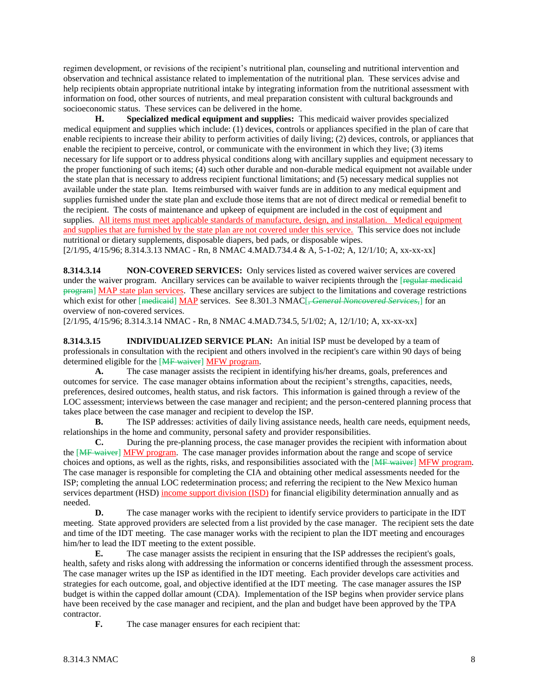regimen development, or revisions of the recipient's nutritional plan, counseling and nutritional intervention and observation and technical assistance related to implementation of the nutritional plan. These services advise and help recipients obtain appropriate nutritional intake by integrating information from the nutritional assessment with information on food, other sources of nutrients, and meal preparation consistent with cultural backgrounds and socioeconomic status. These services can be delivered in the home.

**H. Specialized medical equipment and supplies:** This medicaid waiver provides specialized medical equipment and supplies which include: (1) devices, controls or appliances specified in the plan of care that enable recipients to increase their ability to perform activities of daily living; (2) devices, controls, or appliances that enable the recipient to perceive, control, or communicate with the environment in which they live; (3) items necessary for life support or to address physical conditions along with ancillary supplies and equipment necessary to the proper functioning of such items; (4) such other durable and non-durable medical equipment not available under the state plan that is necessary to address recipient functional limitations; and (5) necessary medical supplies not available under the state plan. Items reimbursed with waiver funds are in addition to any medical equipment and supplies furnished under the state plan and exclude those items that are not of direct medical or remedial benefit to the recipient. The costs of maintenance and upkeep of equipment are included in the cost of equipment and supplies. All items must meet applicable standards of manufacture, design, and installation. Medical equipment and supplies that are furnished by the state plan are not covered under this service. This service does not include nutritional or dietary supplements, disposable diapers, bed pads, or disposable wipes. [2/1/95, 4/15/96; 8.314.3.13 NMAC - Rn, 8 NMAC 4.MAD.734.4 & A, 5-1-02; A, 12/1/10; A, xx-xx-xx]

**8.314.3.14 NON-COVERED SERVICES:** Only services listed as covered waiver services are covered under the waiver program. Ancillary services can be available to waiver recipients through the [regular medicaid program] MAP state plan services. These ancillary services are subject to the limitations and coverage restrictions which exist for other [medicaid] MAP services. See 8.301.3 NMAC[, *General Noncovered Services*,] for an overview of non-covered services.

[2/1/95, 4/15/96; 8.314.3.14 NMAC - Rn, 8 NMAC 4.MAD.734.5, 5/1/02; A, 12/1/10; A, xx-xx-xx]

**8.314.3.15 INDIVIDUALIZED SERVICE PLAN:** An initial ISP must be developed by a team of professionals in consultation with the recipient and others involved in the recipient's care within 90 days of being determined eligible for the [MF waiver] MFW program.

**A.** The case manager assists the recipient in identifying his/her dreams, goals, preferences and outcomes for service. The case manager obtains information about the recipient's strengths, capacities, needs, preferences, desired outcomes, health status, and risk factors. This information is gained through a review of the LOC assessment; interviews between the case manager and recipient; and the person-centered planning process that takes place between the case manager and recipient to develop the ISP.

**B.** The ISP addresses: activities of daily living assistance needs, health care needs, equipment needs, relationships in the home and community, personal safety and provider responsibilities.

**C.** During the pre-planning process, the case manager provides the recipient with information about the [MF waiver] MFW program. The case manager provides information about the range and scope of service choices and options, as well as the rights, risks, and responsibilities associated with the [MF waiver] MFW program. The case manager is responsible for completing the CIA and obtaining other medical assessments needed for the ISP; completing the annual LOC redetermination process; and referring the recipient to the New Mexico human services department (HSD) income support division (ISD) for financial eligibility determination annually and as needed.

**D.** The case manager works with the recipient to identify service providers to participate in the IDT meeting. State approved providers are selected from a list provided by the case manager. The recipient sets the date and time of the IDT meeting. The case manager works with the recipient to plan the IDT meeting and encourages him/her to lead the IDT meeting to the extent possible.

**E.** The case manager assists the recipient in ensuring that the ISP addresses the recipient's goals, health, safety and risks along with addressing the information or concerns identified through the assessment process. The case manager writes up the ISP as identified in the IDT meeting. Each provider develops care activities and strategies for each outcome, goal, and objective identified at the IDT meeting. The case manager assures the ISP budget is within the capped dollar amount (CDA). Implementation of the ISP begins when provider service plans have been received by the case manager and recipient, and the plan and budget have been approved by the TPA contractor.

**F.** The case manager ensures for each recipient that: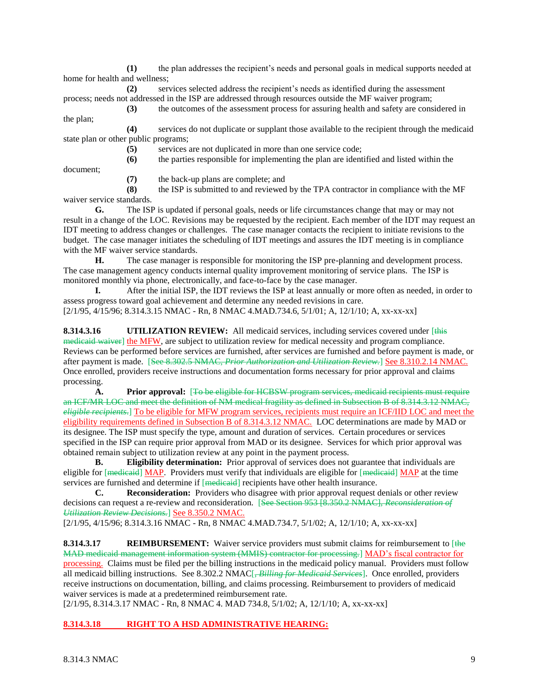**(1)** the plan addresses the recipient's needs and personal goals in medical supports needed at home for health and wellness;

**(2)** services selected address the recipient's needs as identified during the assessment process; needs not addressed in the ISP are addressed through resources outside the MF waiver program;

**(3)** the outcomes of the assessment process for assuring health and safety are considered in the plan;

**(4)** services do not duplicate or supplant those available to the recipient through the medicaid state plan or other public programs;

**(5)** services are not duplicated in more than one service code;

**(6)** the parties responsible for implementing the plan are identified and listed within the

document;

**(7)** the back-up plans are complete; and

**(8)** the ISP is submitted to and reviewed by the TPA contractor in compliance with the MF waiver service standards.

**G.** The ISP is updated if personal goals, needs or life circumstances change that may or may not result in a change of the LOC. Revisions may be requested by the recipient. Each member of the IDT may request an IDT meeting to address changes or challenges. The case manager contacts the recipient to initiate revisions to the budget. The case manager initiates the scheduling of IDT meetings and assures the IDT meeting is in compliance with the MF waiver service standards.

**H.** The case manager is responsible for monitoring the ISP pre-planning and development process. The case management agency conducts internal quality improvement monitoring of service plans. The ISP is monitored monthly via phone, electronically, and face-to-face by the case manager.

**I.** After the initial ISP, the IDT reviews the ISP at least annually or more often as needed, in order to assess progress toward goal achievement and determine any needed revisions in care.

[2/1/95, 4/15/96; 8.314.3.15 NMAC - Rn, 8 NMAC 4.MAD.734.6, 5/1/01; A, 12/1/10; A, xx-xx-xx]

**8.314.3.16 UTILIZATION REVIEW:** All medicaid services, including services covered under [this medicaid waiver] the MFW, are subject to utilization review for medical necessity and program compliance. Reviews can be performed before services are furnished, after services are furnished and before payment is made, or after payment is made. [See 8.302.5 NMAC, *Prior Authorization and Utilization Review.*] See 8.310.2.14 NMAC. Once enrolled, providers receive instructions and documentation forms necessary for prior approval and claims processing.

**A. Prior approval:** [To be eligible for HCBSW program services, medicaid recipients must require an ICF/MR LOC and meet the definition of NM medical fragility as defined in Subsection B of 8.314.3.12 NMAC, *eligible recipients*.] To be eligible for MFW program services, recipients must require an ICF/IID LOC and meet the eligibility requirements defined in Subsection B of 8.314.3.12 NMAC. LOC determinations are made by MAD or its designee. The ISP must specify the type, amount and duration of services. Certain procedures or services specified in the ISP can require prior approval from MAD or its designee. Services for which prior approval was obtained remain subject to utilization review at any point in the payment process.

**B. Eligibility determination:** Prior approval of services does not guarantee that individuals are eligible for [medicaid] MAP. Providers must verify that individuals are eligible for [medicaid] MAP at the time services are furnished and determine if [medicaid] recipients have other health insurance.

**C. Reconsideration:** Providers who disagree with prior approval request denials or other review decisions can request a re-review and reconsideration. [See Section 953 [8.350.2 NMAC], *Reconsideration of Utilization Review Decisions.*] See 8.350.2 NMAC.

[2/1/95, 4/15/96; 8.314.3.16 NMAC - Rn, 8 NMAC 4.MAD.734.7, 5/1/02; A, 12/1/10; A, xx-xx-xx]

**8.314.3.17 REIMBURSEMENT:** Waiver service providers must submit claims for reimbursement to [the MAD medicaid management information system (MMIS) contractor for processing.] MAD's fiscal contractor for processing. Claims must be filed per the billing instructions in the medicaid policy manual. Providers must follow all medicaid billing instructions. See 8.302.2 NMAC[, *Billing for Medicaid Services*]. Once enrolled, providers receive instructions on documentation, billing, and claims processing. Reimbursement to providers of medicaid waiver services is made at a predetermined reimbursement rate.

[2/1/95, 8.314.3.17 NMAC - Rn, 8 NMAC 4. MAD 734.8, 5/1/02; A, 12/1/10; A, xx-xx-xx]

# **8.314.3.18 RIGHT TO A HSD ADMINISTRATIVE HEARING:**